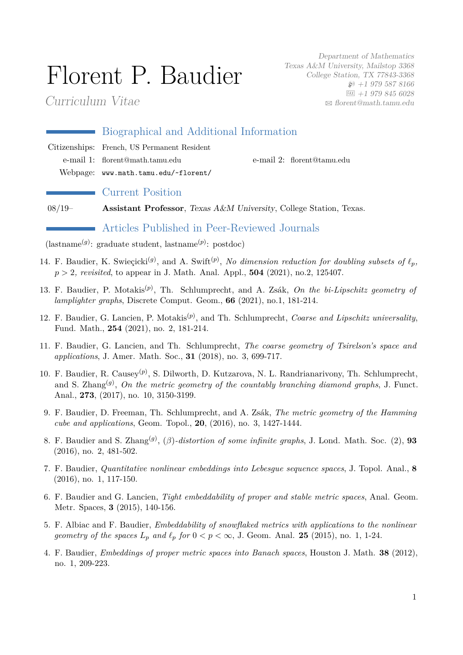# Florent P. Baudier

Curriculum Vitae

Department of Mathematics Texas A&M University, Mailstop 3368 College Station, TX 77843-3368  $\wp$  +1 979 587 8166  $FAX$  +1 979 845 6028  $\boxtimes$  [florent@math.tamu.edu](mailto:florent@math.tamu.edu)

| Biographical and Additional Information     |  |                            |  |  |  |
|---------------------------------------------|--|----------------------------|--|--|--|
| Citizenships: French, US Permanent Resident |  |                            |  |  |  |
| e-mail 1: florent@math.tamu.edu             |  | e-mail 2: florent@tamu.edu |  |  |  |
| Webpage: www.math.tamu.edu/~florent/        |  |                            |  |  |  |
|                                             |  |                            |  |  |  |

## Current Position

08/19– **Assistant Professor**, Texas A&M University, College Station, Texas.

# Articles Published in Peer-Reviewed Journals

(lastname(*g*) : graduate student, lastname(*p*) : postdoc)

- 14. F. Baudier, K. Swieçicki<sup>(g)</sup>, and A. Swift<sup>(p)</sup>, No dimension reduction for doubling subsets of  $\ell_p$ , *p >* 2*, revisited*, to appear in J. Math. Anal. Appl., **504** (2021), no.2, 125407.
- 13. F. Baudier, P. Motakis(*p*) , Th. Schlumprecht, and A. Zsák, *On the bi-Lipschitz geometry of lamplighter graphs*, Discrete Comput. Geom., **66** (2021), no.1, 181-214.
- 12. F. Baudier, G. Lancien, P. Motakis(*p*) , and Th. Schlumprecht, *Coarse and Lipschitz universality*, Fund. Math., **254** (2021), no. 2, 181-214.
- 11. F. Baudier, G. Lancien, and Th. Schlumprecht, *The coarse geometry of Tsirelson's space and applications*, J. Amer. Math. Soc., **31** (2018), no. 3, 699-717.
- 10. F. Baudier, R. Causey(*p*) , S. Dilworth, D. Kutzarova, N. L. Randrianarivony, Th. Schlumprecht, and S. Zhang<sup>(g)</sup>, *On the metric geometry of the countably branching diamond graphs*, J. Funct. Anal., **273**, (2017), no. 10, 3150-3199.
- 9. F. Baudier, D. Freeman, Th. Schlumprecht, and A. Zsák, *The metric geometry of the Hamming cube and applications*, Geom. Topol., **20**, (2016), no. 3, 1427-1444.
- 8. F. Baudier and S. Zhang(*g*) , (*β*)*-distortion of some infinite graphs*, J. Lond. Math. Soc. (2), **93** (2016), no. 2, 481-502.
- 7. F. Baudier, *Quantitative nonlinear embeddings into Lebesgue sequence spaces*, J. Topol. Anal., **8** (2016), no. 1, 117-150.
- 6. F. Baudier and G. Lancien, *Tight embeddability of proper and stable metric spaces*, Anal. Geom. Metr. Spaces, **3** (2015), 140-156.
- 5. F. Albiac and F. Baudier, *Embeddability of snowflaked metrics with applications to the nonlinear geometry of the spaces*  $L_p$  *and*  $\ell_p$  *for*  $0 < p < \infty$ , J. Geom. Anal. **25** (2015), no. 1, 1-24.
- 4. F. Baudier, *Embeddings of proper metric spaces into Banach spaces*, Houston J. Math. **38** (2012), no. 1, 209-223.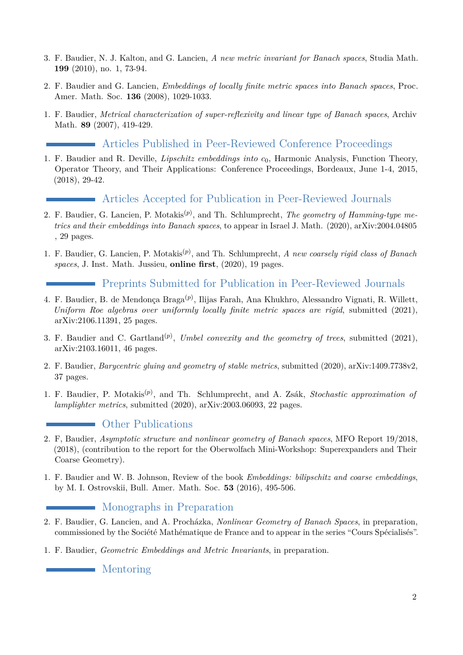- 3. F. Baudier, N. J. Kalton, and G. Lancien, *A new metric invariant for Banach spaces*, Studia Math. **199** (2010), no. 1, 73-94.
- 2. F. Baudier and G. Lancien, *Embeddings of locally finite metric spaces into Banach spaces*, Proc. Amer. Math. Soc. **136** (2008), 1029-1033.
- 1. F. Baudier, *Metrical characterization of super-reflexivity and linear type of Banach spaces*, Archiv Math. **89** (2007), 419-429.

# Articles Published in Peer-Reviewed Conference Proceedings

1. F. Baudier and R. Deville, *Lipschitz embeddings into c*0, Harmonic Analysis, Function Theory, Operator Theory, and Their Applications: Conference Proceedings, Bordeaux, June 1-4, 2015, (2018), 29-42.

# Articles Accepted for Publication in Peer-Reviewed Journals

- 2. F. Baudier, G. Lancien, P. Motakis(*p*) , and Th. Schlumprecht, *The geometry of Hamming-type metrics and their embeddings into Banach spaces*, to appear in Israel J. Math. (2020), arXiv:2004.04805 , 29 pages.
- 1. F. Baudier, G. Lancien, P. Motakis(*p*) , and Th. Schlumprecht, *A new coarsely rigid class of Banach spaces*, J. Inst. Math. Jussieu, **online first**, (2020), 19 pages.

Preprints Submitted for Publication in Peer-Reviewed Journals

- 4. F. Baudier, B. de Mendonça Braga(*p*) , Ilijas Farah, Ana Khukhro, Alessandro Vignati, R. Willett, *Uniform Roe algebras over uniformly locally finite metric spaces are rigid*, submitted (2021), arXiv:2106.11391, 25 pages.
- 3. F. Baudier and C. Gartland<sup>(p)</sup>, *Umbel convexity and the geometry of trees*, submitted (2021), arXiv:2103.16011, 46 pages.
- 2. F. Baudier, *Barycentric gluing and geometry of stable metrics*, submitted (2020), arXiv:1409.7738v2, 37 pages.
- 1. F. Baudier, P. Motakis(*p*) , and Th. Schlumprecht, and A. Zsák, *Stochastic approximation of lamplighter metrics*, submitted (2020), arXiv:2003.06093, 22 pages.

## **C** Other Publications

- 2. F, Baudier, *Asymptotic structure and nonlinear geometry of Banach spaces*, MFO Report 19/2018, (2018), (contribution to the report for the Oberwolfach Mini-Workshop: Superexpanders and Their Coarse Geometry).
- 1. F. Baudier and W. B. Johnson, Review of the book *Embeddings: bilipschitz and coarse embeddings*, by M. I. Ostrovskii, Bull. Amer. Math. Soc. **53** (2016), 495-506.

## Monographs in Preparation

- 2. F. Baudier, G. Lancien, and A. Procházka, *Nonlinear Geometry of Banach Spaces*, in preparation, commissioned by the Société Mathématique de France and to appear in the series "Cours Spécialisés".
- 1. F. Baudier, *Geometric Embeddings and Metric Invariants*, in preparation.

Mentoring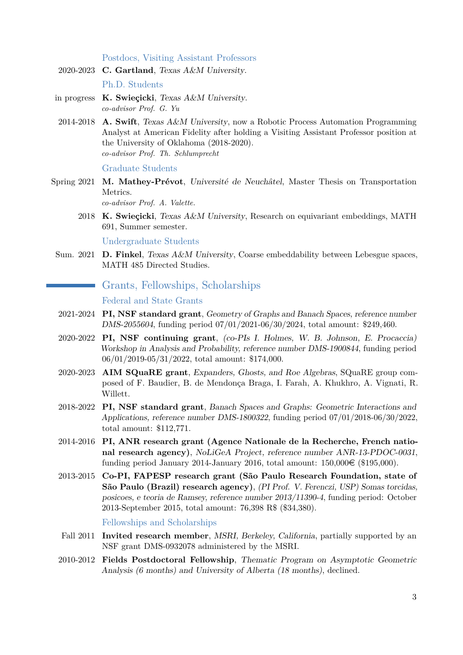Postdocs, Visiting Assistant Professors

- 2020-2023 **C. Gartland**, Texas A&M University. Ph.D. Students
- in progress **K. Swieçicki**, Texas A&M University. *co-advisor Prof. G. Yu*
- 2014-2018 **A. Swift**, Texas A&M University, now a Robotic Process Automation Programming Analyst at American Fidelity after holding a Visiting Assistant Professor position at the University of Oklahoma (2018-2020). *co-advisor Prof. Th. Schlumprecht*

Graduate Students

Spring 2021 **M. Mathey-Prévot**, Université de Neuchâtel, Master Thesis on Transportation Metrics.

*co-advisor Prof. A. Valette.*

2018 **K. Swieçicki**, Texas A&M University, Research on equivariant embeddings, MATH 691, Summer semester.

Undergraduate Students

Sum. 2021 **D. Finkel**, Texas A&M University, Coarse embeddability between Lebesgue spaces, MATH 485 Directed Studies.

## Grants, Fellowships, Scholarships

#### Federal and State Grants

- 2021-2024 **PI, NSF standard grant**, Geometry of Graphs and Banach Spaces, reference number DMS-2055604, funding period 07/01/2021-06/30/2024, total amount: \$249,460.
- 2020-2022 **PI, NSF continuing grant**, (co-PIs I. Holmes, W. B. Johnson, E. Procaccia) Workshop in Analysis and Probability, reference number DMS-1900844, funding period 06/01/2019-05/31/2022, total amount: \$174,000.
- 2020-2023 **AIM SQuaRE grant**, Expanders, Ghosts, and Roe Algebras, SQuaRE group composed of F. Baudier, B. de Mendonça Braga, I. Farah, A. Khukhro, A. Vignati, R. Willett.
- 2018-2022 **PI, NSF standard grant**, Banach Spaces and Graphs: Geometric Interactions and Applications, reference number DMS-1800322, funding period 07/01/2018-06/30/2022, total amount: \$112,771.
- 2014-2016 **PI, ANR research grant (Agence Nationale de la Recherche, French national research agency)**, NoLiGeA Project, reference number ANR-13-PDOC-0031, funding period January 2014-January 2016, total amount:  $150,000 \in (\$195,000)$ .
- 2013-2015 **Co-PI, FAPESP research grant (São Paulo Research Foundation, state of São Paulo (Brazil) research agency)**, (PI Prof. V. Ferenczi, USP) Somas torcidas, posicoes, e teoria de Ramsey, reference number 2013/11390-4, funding period: October 2013-September 2015, total amount: 76,398 R\$ (\$34,380).

#### Fellowships and Scholarships

- Fall 2011 **Invited research member**, MSRI, Berkeley, California, partially supported by an NSF grant DMS-0932078 administered by the MSRI.
- 2010-2012 **Fields Postdoctoral Fellowship**, Thematic Program on Asymptotic Geometric Analysis (6 months) and University of Alberta (18 months), declined.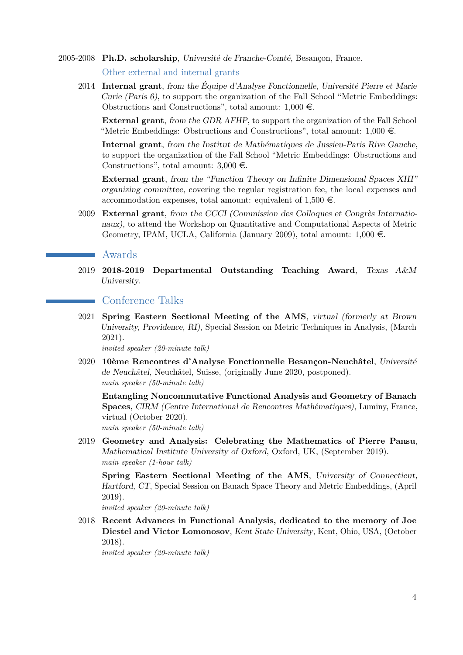2005-2008 **Ph.D. scholarship**, Université de Franche-Comté, Besançon, France.

Other external and internal grants

2014 **Internal grant**, from the Équipe d'Analyse Fonctionnelle, Université Pierre et Marie Curie (Paris 6), to support the organization of the Fall School "Metric Embeddings: Obstructions and Constructions", total amount:  $1,000 \in$ .

**External grant**, from the GDR AFHP, to support the organization of the Fall School "Metric Embeddings: Obstructions and Constructions", total amount:  $1,000 \in$ .

**Internal grant**, from the Institut de Mathématiques de Jussieu-Paris Rive Gauche, to support the organization of the Fall School "Metric Embeddings: Obstructions and Constructions", total amount:  $3,000 \in$ .

**External grant**, from the "Function Theory on Infinite Dimensional Spaces XIII" organizing committee, covering the regular registration fee, the local expenses and accommodation expenses, total amount: equivalent of  $1,500 \in$ .

2009 **External grant**, from the CCCI (Commission des Colloques et Congrès Internationaux), to attend the Workshop on Quantitative and Computational Aspects of Metric Geometry, IPAM, UCLA, California (January 2009), total amount:  $1,000 \in$ .

### Awards

2019 **2018-2019 Departmental Outstanding Teaching Award**, Texas A&M University.

#### Conference Talks

2021 **Spring Eastern Sectional Meeting of the AMS**, virtual (formerly at Brown University, Providence, RI), Special Session on Metric Techniques in Analysis, (March 2021).

*invited speaker (20-minute talk)*

2020 **10ème Rencontres d'Analyse Fonctionnelle Besançon-Neuchâtel**, Université de Neuchâtel, Neuchâtel, Suisse, (originally June 2020, postponed). *main speaker (50-minute talk)*

**Entangling Noncommutative Functional Analysis and Geometry of Banach Spaces**, CIRM (Centre International de Rencontres Mathématiques), Luminy, France, virtual (October 2020).

*main speaker (50-minute talk)*

2019 **Geometry and Analysis: Celebrating the Mathematics of Pierre Pansu**, Mathematical Institute University of Oxford, Oxford, UK, (September 2019). *main speaker (1-hour talk)*

**Spring Eastern Sectional Meeting of the AMS**, University of Connecticut, Hartford, CT, Special Session on Banach Space Theory and Metric Embeddings, (April 2019).

*invited speaker (20-minute talk)*

2018 **Recent Advances in Functional Analysis, dedicated to the memory of Joe Diestel and Victor Lomonosov**, Kent State University, Kent, Ohio, USA, (October 2018).

*invited speaker (20-minute talk)*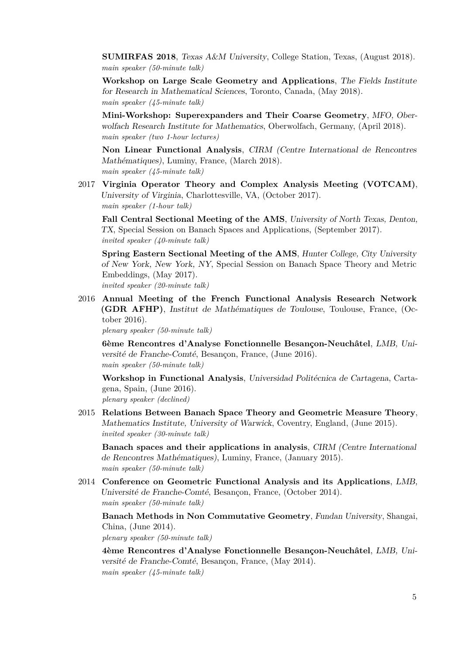**SUMIRFAS 2018**, Texas A&M University, College Station, Texas, (August 2018). *main speaker (50-minute talk)*

**Workshop on Large Scale Geometry and Applications**, The Fields Institute for Research in Mathematical Sciences, Toronto, Canada, (May 2018). *main speaker (45-minute talk)*

**Mini-Workshop: Superexpanders and Their Coarse Geometry**, MFO, Oberwolfach Research Institute for Mathematics, Oberwolfach, Germany, (April 2018). *main speaker (two 1-hour lectures)*

**Non Linear Functional Analysis**, CIRM (Centre International de Rencontres Mathématiques), Luminy, France, (March 2018). *main speaker (45-minute talk)*

2017 **Virginia Operator Theory and Complex Analysis Meeting (VOTCAM)**, University of Virginia, Charlottesville, VA, (October 2017). *main speaker (1-hour talk)*

**Fall Central Sectional Meeting of the AMS**, University of North Texas, Denton, TX, Special Session on Banach Spaces and Applications, (September 2017). *invited speaker (40-minute talk)*

**Spring Eastern Sectional Meeting of the AMS**, Hunter College, City University of New York, New York, NY, Special Session on Banach Space Theory and Metric Embeddings, (May 2017). *invited speaker (20-minute talk)*

2016 **Annual Meeting of the French Functional Analysis Research Network (GDR AFHP)**, Institut de Mathématiques de Toulouse, Toulouse, France, (October 2016).

*plenary speaker (50-minute talk)*

**6ème Rencontres d'Analyse Fonctionnelle Besançon-Neuchâtel**, LMB, Université de Franche-Comté, Besançon, France, (June 2016). *main speaker (50-minute talk)*

**Workshop in Functional Analysis**, Universidad Politécnica de Cartagena, Cartagena, Spain, (June 2016). *plenary speaker (declined)*

2015 **Relations Between Banach Space Theory and Geometric Measure Theory**, Mathematics Institute, University of Warwick, Coventry, England, (June 2015). *invited speaker (30-minute talk)*

**Banach spaces and their applications in analysis**, CIRM (Centre International de Rencontres Mathématiques), Luminy, France, (January 2015). *main speaker (50-minute talk)*

2014 **Conference on Geometric Functional Analysis and its Applications**, LMB, Université de Franche-Comté, Besançon, France, (October 2014). *main speaker (50-minute talk)*

**Banach Methods in Non Commutative Geometry**, Fundan University, Shangai, China, (June 2014).

*plenary speaker (50-minute talk)*

**4ème Rencontres d'Analyse Fonctionnelle Besançon-Neuchâtel**, LMB, Université de Franche-Comté, Besançon, France, (May 2014). *main speaker (45-minute talk)*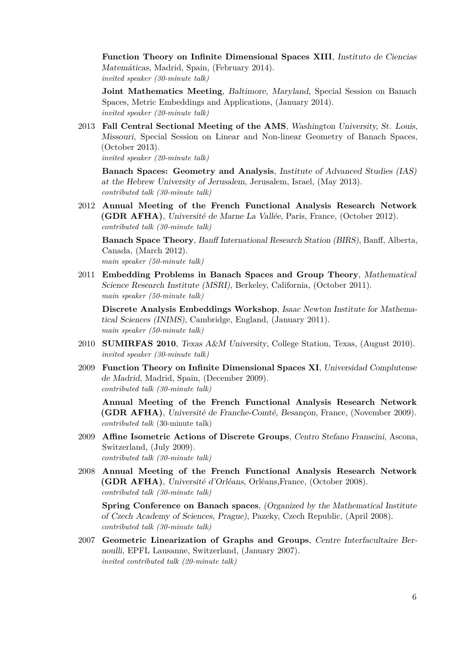**Function Theory on Infinite Dimensional Spaces XIII**, Instituto de Ciencias Matemáticas, Madrid, Spain, (February 2014). *invited speaker (30-minute talk)*

**Joint Mathematics Meeting**, Baltimore, Maryland, Special Session on Banach Spaces, Metric Embeddings and Applications, (January 2014). *invited speaker (20-minute talk)*

2013 **Fall Central Sectional Meeting of the AMS**, Washington University, St. Louis, Missouri, Special Session on Linear and Non-linear Geometry of Banach Spaces, (October 2013).

*invited speaker (20-minute talk)*

**Banach Spaces: Geometry and Analysis**, Institute of Advanced Studies (IAS) at the Hebrew University of Jerusalem, Jerusalem, Israel, (May 2013). *contributed talk (30-minute talk)*

2012 **Annual Meeting of the French Functional Analysis Research Network (GDR AFHA)**, Université de Marne La Vallée, Paris, France, (October 2012). *contributed talk (30-minute talk)*

**Banach Space Theory**, Banff International Research Station (BIRS), Banff, Alberta, Canada, (March 2012). *main speaker (50-minute talk)*

2011 **Embedding Problems in Banach Spaces and Group Theory**, Mathematical Science Research Institute (MSRI), Berkeley, California, (October 2011). *main speaker (50-minute talk)*

**Discrete Analysis Embeddings Workshop**, Isaac Newton Institute for Mathematical Sciences (INIMS), Cambridge, England, (January 2011). *main speaker (50-minute talk)*

- 2010 **SUMIRFAS 2010**, Texas A&M University, College Station, Texas, (August 2010). *invited speaker (30-minute talk)*
- 2009 **Function Theory on Infinite Dimensional Spaces XI**, Universidad Complutense de Madrid, Madrid, Spain, (December 2009). *contributed talk (30-minute talk)*

**Annual Meeting of the French Functional Analysis Research Network (GDR AFHA)**, Université de Franche-Comté, Besançon, France, (November 2009). *contributed talk* (30-minute talk)

- 2009 **Affine Isometric Actions of Discrete Groups**, Centro Stefano Franscini, Ascona, Switzerland, (July 2009). *contributed talk (30-minute talk)*
- 2008 **Annual Meeting of the French Functional Analysis Research Network (GDR AFHA)**, Université d'Orléans, Orléans,France, (October 2008). *contributed talk (30-minute talk)*

**Spring Conference on Banach spaces**, (Organized by the Mathematical Institute of Czech Academy of Sciences, Prague), Pazeky, Czech Republic, (April 2008). *contributed talk (30-minute talk)*

2007 **Geometric Linearization of Graphs and Groups**, Centre Interfacultaire Bernoulli, EPFL Lausanne, Switzerland, (January 2007). *invited contributed talk (20-minute talk)*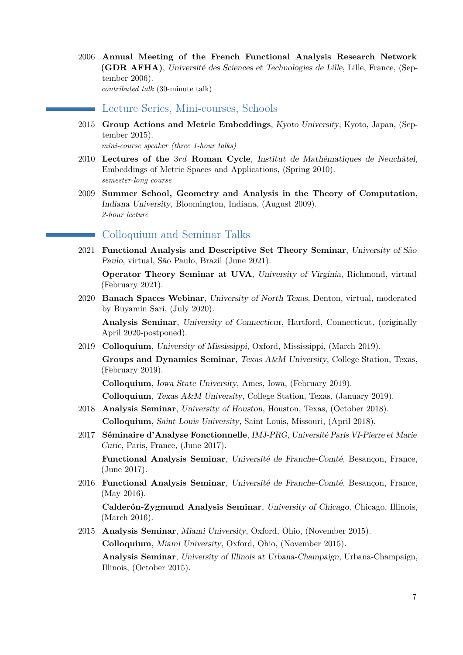2006 **Annual Meeting of the French Functional Analysis Research Network (GDR AFHA)**, Université des Sciences et Technologies de Lille, Lille, France, (September 2006). *contributed talk* (30-minute talk)

Lecture Series, Mini-courses, Schools

2015 **Group Actions and Metric Embeddings**, Kyoto University, Kyoto, Japan, (September 2015).

*mini-course speaker (three 1-hour talks)*

- 2010 **Lectures of the** 3*rd* **Roman Cycle**, Institut de Mathématiques de Neuchâtel, Embeddings of Metric Spaces and Applications, (Spring 2010). *semester-long course*
- 2009 **Summer School, Geometry and Analysis in the Theory of Computation**, Indiana University, Bloomington, Indiana, (August 2009). *2-hour lecture*

# Colloquium and Seminar Talks

2021 **Functional Analysis and Descriptive Set Theory Seminar**, University of São Paulo, virtual, São Paulo, Brazil (June 2021).

**Operator Theory Seminar at UVA**, University of Virginia, Richmond, virtual (February 2021).

2020 **Banach Spaces Webinar**, University of North Texas, Denton, virtual, moderated by Buyamin Sari, (July 2020).

**Analysis Seminar**, University of Connecticut, Hartford, Connecticut, (originally April 2020-postponed).

2019 **Colloquium**, University of Mississippi, Oxford, Mississippi, (March 2019).

**Groups and Dynamics Seminar**, Texas A&M University, College Station, Texas, (February 2019).

**Colloquium**, Iowa State University, Ames, Iowa, (February 2019).

**Colloquium**, Texas A&M University, College Station, Texas, (January 2019).

- 2018 **Analysis Seminar**, University of Houston, Houston, Texas, (October 2018). **Colloquium**, Saint Louis University, Saint Louis, Missouri, (April 2018).
- 2017 **Séminaire d'Analyse Fonctionnelle**, IMJ-PRG, Université Paris VI-Pierre et Marie Curie, Paris, France, (June 2017).

**Functional Analysis Seminar**, Université de Franche-Comté, Besançon, France, (June 2017).

2016 **Functional Analysis Seminar**, Université de Franche-Comté, Besançon, France, (May 2016).

**Calderón-Zygmund Analysis Seminar**, University of Chicago, Chicago, Illinois, (March 2016).

2015 **Analysis Seminar**, Miami University, Oxford, Ohio, (November 2015). **Colloquium**, Miami University, Oxford, Ohio, (November 2015).

**Analysis Seminar**, University of Illinois at Urbana-Champaign, Urbana-Champaign, Illinois, (October 2015).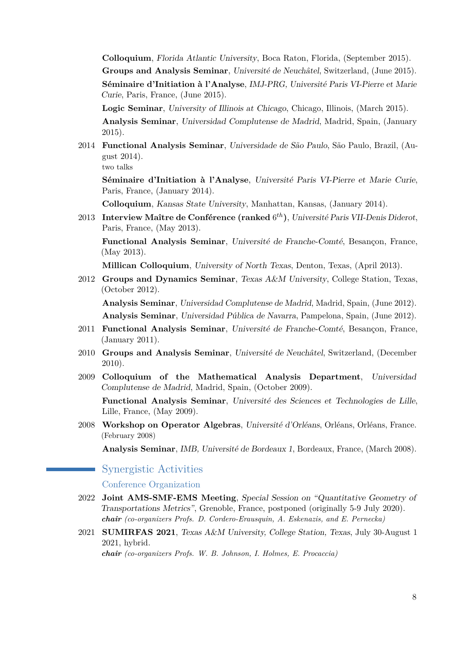**Colloquium**, Florida Atlantic University, Boca Raton, Florida, (September 2015).

**Groups and Analysis Seminar**, Université de Neuchâtel, Switzerland, (June 2015).

**Séminaire d'Initiation à l'Analyse**, IMJ-PRG, Université Paris VI-Pierre et Marie Curie, Paris, France, (June 2015).

**Logic Seminar**, University of Illinois at Chicago, Chicago, Illinois, (March 2015).

**Analysis Seminar**, Universidad Complutense de Madrid, Madrid, Spain, (January 2015).

2014 **Functional Analysis Seminar**, Universidade de São Paulo, São Paulo, Brazil, (August 2014).

two talks

**Séminaire d'Initiation à l'Analyse**, Université Paris VI-Pierre et Marie Curie, Paris, France, (January 2014).

**Colloquium**, Kansas State University, Manhattan, Kansas, (January 2014).

2013 **Interview Maître de Conférence (ranked** 6 *th***)**, Université Paris VII-Denis Diderot, Paris, France, (May 2013).

**Functional Analysis Seminar**, Université de Franche-Comté, Besançon, France, (May 2013).

**Millican Colloquium**, University of North Texas, Denton, Texas, (April 2013).

2012 **Groups and Dynamics Seminar**, Texas A&M University, College Station, Texas, (October 2012).

**Analysis Seminar**, Universidad Complutense de Madrid, Madrid, Spain, (June 2012). **Analysis Seminar**, Universidad Pública de Navarra, Pampelona, Spain, (June 2012).

- 2011 **Functional Analysis Seminar**, Université de Franche-Comté, Besançon, France, (January 2011).
- 2010 **Groups and Analysis Seminar**, Université de Neuchâtel, Switzerland, (December 2010).
- 2009 **Colloquium of the Mathematical Analysis Department**, Universidad Complutense de Madrid, Madrid, Spain, (October 2009).

**Functional Analysis Seminar**, Université des Sciences et Technologies de Lille, Lille, France, (May 2009).

2008 **Workshop on Operator Algebras**, Université d'Orléans, Orléans, Orléans, France. (February 2008)

**Analysis Seminar**, IMB, Université de Bordeaux 1, Bordeaux, France, (March 2008).

Synergistic Activities

Conference Organization

- 2022 **Joint AMS-SMF-EMS Meeting**, Special Session on "Quantitative Geometry of Transportations Metrics", Grenoble, France, postponed (originally 5-9 July 2020). *chair (co-organizers Profs. D. Cordero-Erausquin, A. Eskenazis, and E. Pernecka)*
- 2021 **SUMIRFAS 2021**, Texas A&M University, College Station, Texas, July 30-August 1 2021, hybrid.

*chair (co-organizers Profs. W. B. Johnson, I. Holmes, E. Procaccia)*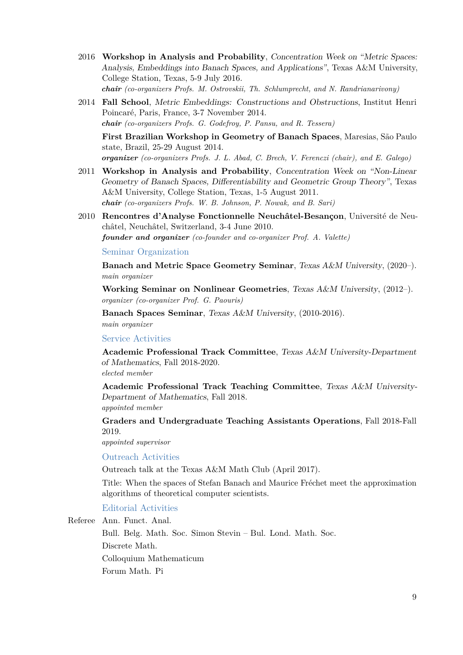- 2016 **Workshop in Analysis and Probability**, Concentration Week on "Metric Spaces: Analysis, Embeddings into Banach Spaces, and Applications", Texas A&M University, College Station, Texas, 5-9 July 2016. *chair (co-organizers Profs. M. Ostrovskii, Th. Schlumprecht, and N. Randrianarivony)*
- 2014 **Fall School**, Metric Embeddings: Constructions and Obstructions, Institut Henri Poincaré, Paris, France, 3-7 November 2014. *chair (co-organizers Profs. G. Godefroy, P. Pansu, and R. Tessera)*

**First Brazilian Workshop in Geometry of Banach Spaces**, Maresias, São Paulo state, Brazil, 25-29 August 2014.

*organizer (co-organizers Profs. J. L. Abad, C. Brech, V. Ferenczi (chair), and E. Galego)*

- 2011 **Workshop in Analysis and Probability**, Concentration Week on "Non-Linear Geometry of Banach Spaces, Differentiability and Geometric Group Theory", Texas A&M University, College Station, Texas, 1-5 August 2011. *chair (co-organizers Profs. W. B. Johnson, P. Nowak, and B. Sari)*
- 2010 **Rencontres d'Analyse Fonctionnelle Neuchâtel-Besançon**, Université de Neuchâtel, Neuchâtel, Switzerland, 3-4 June 2010.

*founder and organizer (co-founder and co-organizer Prof. A. Valette)*

Seminar Organization

**Banach and Metric Space Geometry Seminar**, Texas A&M University, (2020–). *main organizer*

**Working Seminar on Nonlinear Geometries**, Texas A&M University, (2012–). *organizer (co-organizer Prof. G. Paouris)*

**Banach Spaces Seminar**, Texas A&M University, (2010-2016). *main organizer*

#### Service Activities

**Academic Professional Track Committee**, Texas A&M University-Department of Mathematics, Fall 2018-2020.

*elected member*

**Academic Professional Track Teaching Committee**, Texas A&M University-Department of Mathematics, Fall 2018.

*appointed member*

**Graders and Undergraduate Teaching Assistants Operations**, Fall 2018-Fall 2019.

*appointed supervisor*

Outreach Activities

Outreach talk at the Texas A&M Math Club (April 2017).

Title: When the spaces of Stefan Banach and Maurice Fréchet meet the approximation algorithms of theoretical computer scientists.

Editorial Activities

Referee Ann. Funct. Anal. Bull. Belg. Math. Soc. Simon Stevin – Bul. Lond. Math. Soc. Discrete Math. Colloquium Mathematicum Forum Math. Pi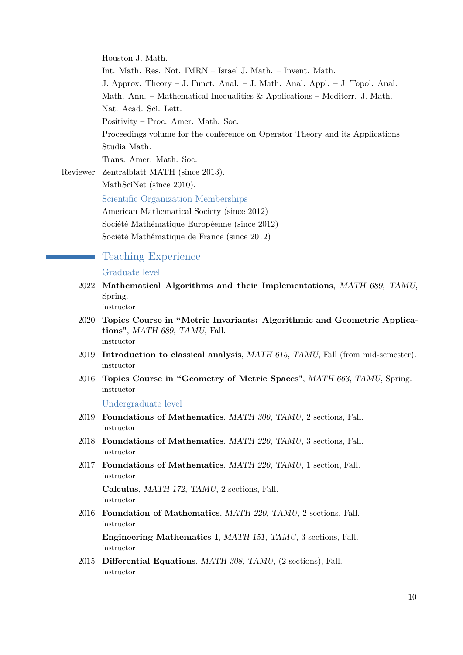Houston J. Math. Int. Math. Res. Not. IMRN – Israel J. Math. – Invent. Math. J. Approx. Theory – J. Funct. Anal. – J. Math. Anal. Appl. – J. Topol. Anal. Math. Ann. – Mathematical Inequalities & Applications – Mediterr. J. Math. Nat. Acad. Sci. Lett. Positivity – Proc. Amer. Math. Soc. Proceedings volume for the conference on Operator Theory and its Applications Studia Math. Trans. Amer. Math. Soc. Reviewer Zentralblatt MATH (since 2013). MathSciNet (since 2010).

Scientific Organization Memberships American Mathematical Society (since 2012) Société Mathématique Européenne (since 2012) Société Mathématique de France (since 2012)

## Teaching Experience

#### Graduate level

- 2022 **Mathematical Algorithms and their Implementations**, MATH 689, TAMU, Spring. instructor
- 2020 **Topics Course in "Metric Invariants: Algorithmic and Geometric Applications"**, MATH 689, TAMU, Fall. instructor
- 2019 **Introduction to classical analysis**, MATH 615, TAMU, Fall (from mid-semester). instructor
- 2016 **Topics Course in "Geometry of Metric Spaces"**, MATH 663, TAMU, Spring. instructor

Undergraduate level

- 2019 **Foundations of Mathematics**, MATH 300, TAMU, 2 sections, Fall. instructor
- 2018 **Foundations of Mathematics**, MATH 220, TAMU, 3 sections, Fall. instructor
- 2017 **Foundations of Mathematics**, MATH 220, TAMU, 1 section, Fall. instructor

**Calculus**, MATH 172, TAMU, 2 sections, Fall. instructor

2016 **Foundation of Mathematics**, MATH 220, TAMU, 2 sections, Fall. instructor

**Engineering Mathematics I**, MATH 151, TAMU, 3 sections, Fall. instructor

2015 **Differential Equations**, MATH 308, TAMU, (2 sections), Fall. instructor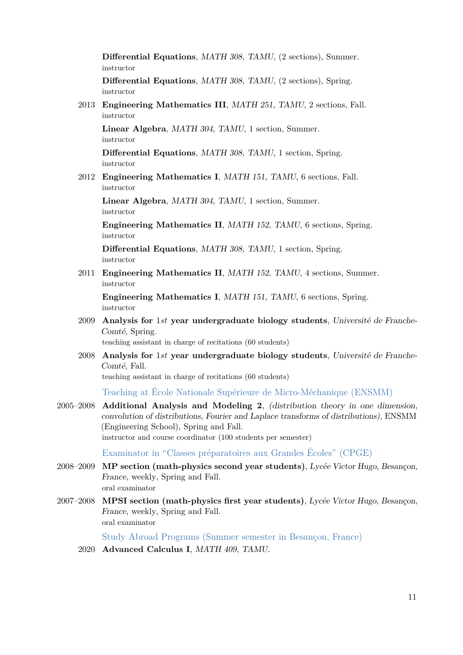**Differential Equations**, MATH 308, TAMU, (2 sections), Summer. instructor

**Differential Equations**, MATH 308, TAMU, (2 sections), Spring. instructor

2013 **Engineering Mathematics III**, MATH 251, TAMU, 2 sections, Fall. instructor

**Linear Algebra**, MATH 304, TAMU, 1 section, Summer. instructor

**Differential Equations**, MATH 308, TAMU, 1 section, Spring. instructor

2012 **Engineering Mathematics I**, MATH 151, TAMU, 6 sections, Fall. instructor

**Linear Algebra**, MATH 304, TAMU, 1 section, Summer. instructor

**Engineering Mathematics II**, MATH 152, TAMU, 6 sections, Spring. instructor

**Differential Equations**, MATH 308, TAMU, 1 section, Spring. instructor

2011 **Engineering Mathematics II**, MATH 152, TAMU, 4 sections, Summer. instructor

**Engineering Mathematics I**, MATH 151, TAMU, 6 sections, Spring. instructor

2009 **Analysis for** 1*st* **year undergraduate biology students**, Université de Franche-Comté, Spring.

teaching assistant in charge of recitations (60 students)

2008 **Analysis for** 1*st* **year undergraduate biology students**, Université de Franche-Comté, Fall.

teaching assistant in charge of recitations (60 students)

Teaching at École Nationale Supérieure de Micro-Méchanique (ENSMM)

2005–2008 **Additional Analysis and Modeling 2**, (distribution theory in one dimension, convolution of distributions, Fourier and Laplace transforms of distributions), ENSMM (Engineering School), Spring and Fall. instructor and course coordinator (100 students per semester)

Examinator in "Classes préparatoires aux Grandes Écoles" (CPGE)

- 2008–2009 **MP section (math-physics second year students)**, Lycée Victor Hugo, Besançon, France, weekly, Spring and Fall. oral examinator
- 2007–2008 **MPSI section (math-physics first year students)**, Lycée Victor Hugo, Besançon, France, weekly, Spring and Fall. oral examinator

Study Abroad Programs (Summer semester in Besançon, France)

2020 **Advanced Calculus I**, MATH 409, TAMU.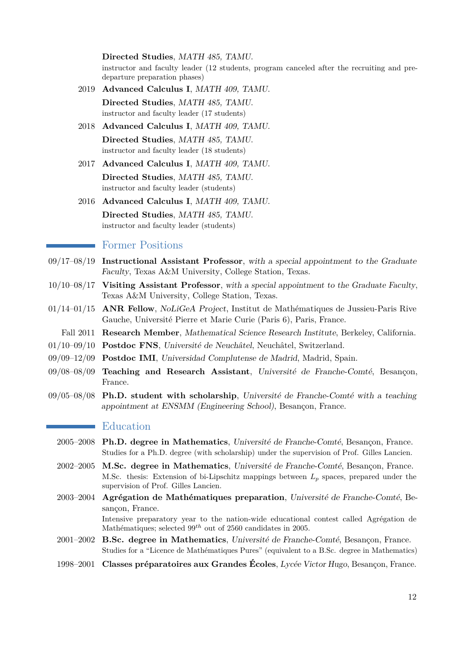**Directed Studies**, MATH 485, TAMU.

instructor and faculty leader (12 students, program canceled after the recruiting and predeparture preparation phases)

- 2019 **Advanced Calculus I**, MATH 409, TAMU. **Directed Studies**, MATH 485, TAMU. instructor and faculty leader (17 students)
- 2018 **Advanced Calculus I**, MATH 409, TAMU. **Directed Studies**, MATH 485, TAMU. instructor and faculty leader (18 students)
- 2017 **Advanced Calculus I**, MATH 409, TAMU. **Directed Studies**, MATH 485, TAMU. instructor and faculty leader (students)
- 2016 **Advanced Calculus I**, MATH 409, TAMU. **Directed Studies**, MATH 485, TAMU. instructor and faculty leader (students)

#### Former Positions

- 09/17–08/19 **Instructional Assistant Professor**, with a special appointment to the Graduate Faculty, Texas A&M University, College Station, Texas.
- 10/10–08/17 **Visiting Assistant Professor**, with a special appointment to the Graduate Faculty, Texas A&M University, College Station, Texas.
- 01/14–01/15 **ANR Fellow**, NoLiGeA Project, Institut de Mathématiques de Jussieu-Paris Rive Gauche, Université Pierre et Marie Curie (Paris 6), Paris, France.
- Fall 2011 **Research Member**, Mathematical Science Research Institute, Berkeley, California.
- 01/10–09/10 **Postdoc FNS**, Université de Neuchâtel, Neuchâtel, Switzerland.
- 09/09–12/09 **Postdoc IMI**, Universidad Complutense de Madrid, Madrid, Spain.
- 09/08–08/09 **Teaching and Research Assistant**, Université de Franche-Comté, Besançon, France.
- 09/05–08/08 **Ph.D. student with scholarship**, Université de Franche-Comté with a teaching appointment at ENSMM (Engineering School), Besançon, France.

#### **Education**

- 2005–2008 **Ph.D. degree in Mathematics**, Université de Franche-Comté, Besançon, France. Studies for a Ph.D. degree (with scholarship) under the supervision of Prof. Gilles Lancien.
- 2002–2005 **M.Sc. degree in Mathematics**, Université de Franche-Comté, Besançon, France. M.Sc. thesis: Extension of bi-Lipschitz mappings between *L<sup>p</sup>* spaces, prepared under the supervision of Prof. Gilles Lancien.
- 2003–2004 **Agrégation de Mathématiques preparation**, Université de Franche-Comté, Besançon, France. Intensive preparatory year to the nation-wide educational contest called Agrégation de Mathématiques; selected 99*th* out of 2560 candidates in 2005.
- 2001–2002 **B.Sc. degree in Mathematics**, Université de Franche-Comté, Besançon, France. Studies for a "Licence de Mathématiques Pures" (equivalent to a B.Sc. degree in Mathematics)
- 1998–2001 **Classes préparatoires aux Grandes Écoles**, Lycée Victor Hugo, Besançon, France.